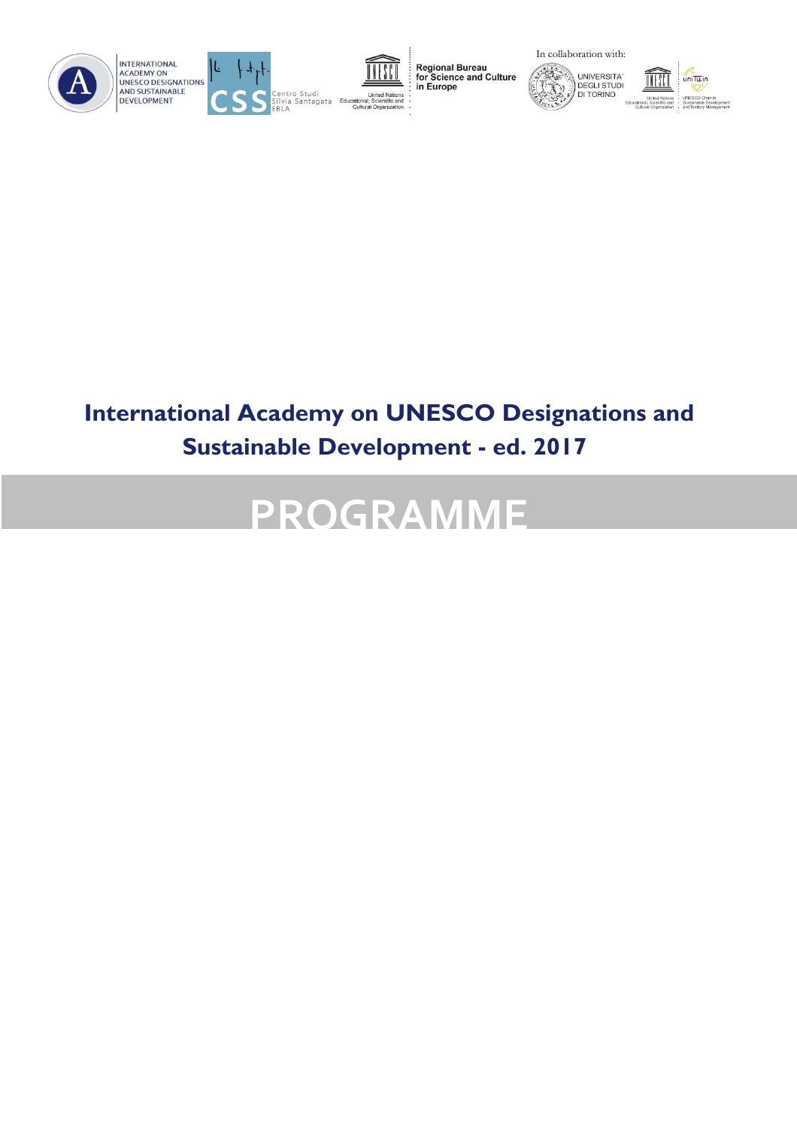







Regional Bureau<br>for Science and Culture<br>in Europe





# **International Academy on UNESCO Designations and Sustainable Development - ed. 2017**

# **PROGRAMME**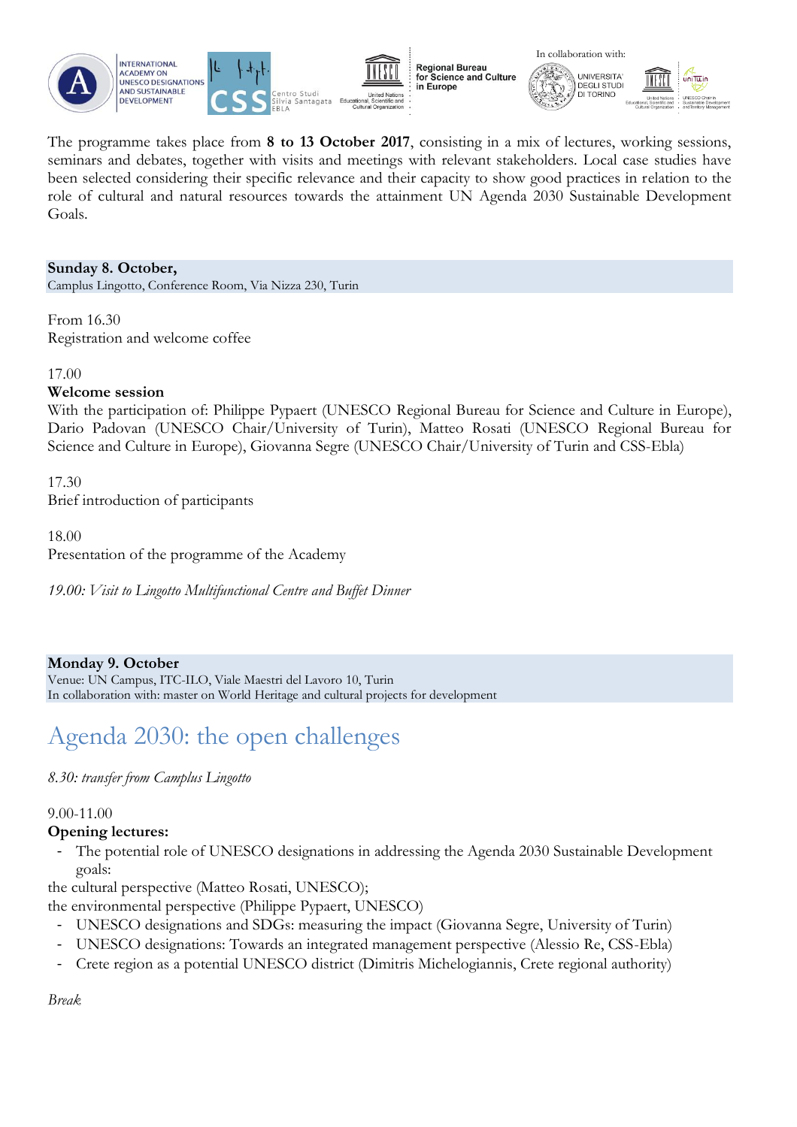







The programme takes place from **8 to 13 October 2017**, consisting in a mix of lectures, working sessions, seminars and debates, together with visits and meetings with relevant stakeholders. Local case studies have been selected considering their specific relevance and their capacity to show good practices in relation to the role of cultural and natural resources towards the attainment UN Agenda 2030 Sustainable Development Goals.

### **Sunday 8. October,**

Camplus Lingotto, Conference Room, Via Nizza 230, Turin

From 16.30 Registration and welcome coffee

17.00

#### **Welcome session**

With the participation of: Philippe Pypaert (UNESCO Regional Bureau for Science and Culture in Europe), Dario Padovan (UNESCO Chair/University of Turin), Matteo Rosati (UNESCO Regional Bureau for Science and Culture in Europe), Giovanna Segre (UNESCO Chair/University of Turin and CSS-Ebla)

17.30 Brief introduction of participants

18.00

Presentation of the programme of the Academy

*19.00: Visit to Lingotto Multifunctional Centre and Buffet Dinner* 

### **Monday 9. October**

Venue: UN Campus, ITC-ILO, Viale Maestri del Lavoro 10, Turin In collaboration with: master on World Heritage and cultural projects for development

# Agenda 2030: the open challenges

### *8.30: transfer from Camplus Lingotto*

#### 9.00-11.00

### **Opening lectures:**

- The potential role of UNESCO designations in addressing the Agenda 2030 Sustainable Development goals:

the cultural perspective (Matteo Rosati, UNESCO);

the environmental perspective (Philippe Pypaert, UNESCO)

- UNESCO designations and SDGs: measuring the impact (Giovanna Segre, University of Turin)
- UNESCO designations: Towards an integrated management perspective (Alessio Re, CSS-Ebla)
- Crete region as a potential UNESCO district (Dimitris Michelogiannis, Crete regional authority)

*Break*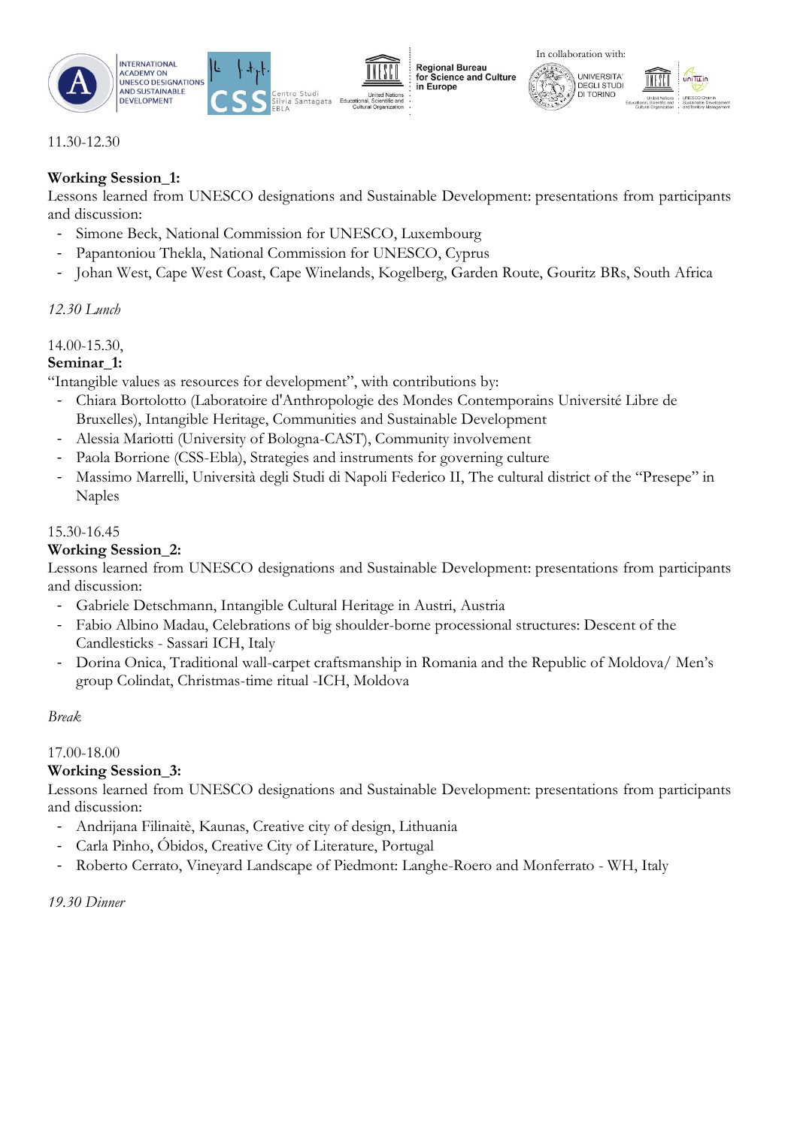



**Regional Bureau** for Science and Culture in Europe





### 11.30-12.30

### **Working Session\_1:**

Lessons learned from UNESCO designations and Sustainable Development: presentations from participants and discussion:

- Simone Beck, National Commission for UNESCO, Luxembourg
- Papantoniou Thekla, National Commission for UNESCO, Cyprus
- Johan West, Cape West Coast, Cape Winelands, Kogelberg, Garden Route, Gouritz BRs, South Africa

### *12.30 Lunch*

### 14.00-15.30,

### **Seminar\_1:**

"Intangible values as resources for development", with contributions by:

- Chiara Bortolotto (Laboratoire d'Anthropologie des Mondes Contemporains Université Libre de Bruxelles), Intangible Heritage, Communities and Sustainable Development
- Alessia Mariotti (University of Bologna-CAST), Community involvement
- Paola Borrione (CSS-Ebla), Strategies and instruments for governing culture
- Massimo Marrelli, Università degli Studi di Napoli Federico II, The cultural district of the "Presepe" in Naples

### 15.30-16.45

### **Working Session\_2:**

Lessons learned from UNESCO designations and Sustainable Development: presentations from participants and discussion:

- Gabriele Detschmann, Intangible Cultural Heritage in Austri, Austria
- Fabio Albino Madau, Celebrations of big shoulder-borne processional structures: Descent of the Candlesticks - Sassari ICH, Italy
- Dorina Onica, Traditional wall-carpet craftsmanship in Romania and the Republic of Moldova/ Men's group Colindat, Christmas-time ritual -ICH, Moldova

### *Break*

### 17.00-18.00

### **Working Session\_3:**

Lessons learned from UNESCO designations and Sustainable Development: presentations from participants and discussion:

- Andrijana Filinaitè, Kaunas, Creative city of design, Lithuania
- Carla Pinho, Óbidos, Creative City of Literature, Portugal
- Roberto Cerrato, Vineyard Landscape of Piedmont: Langhe-Roero and Monferrato WH, Italy

### *19.30 Dinner*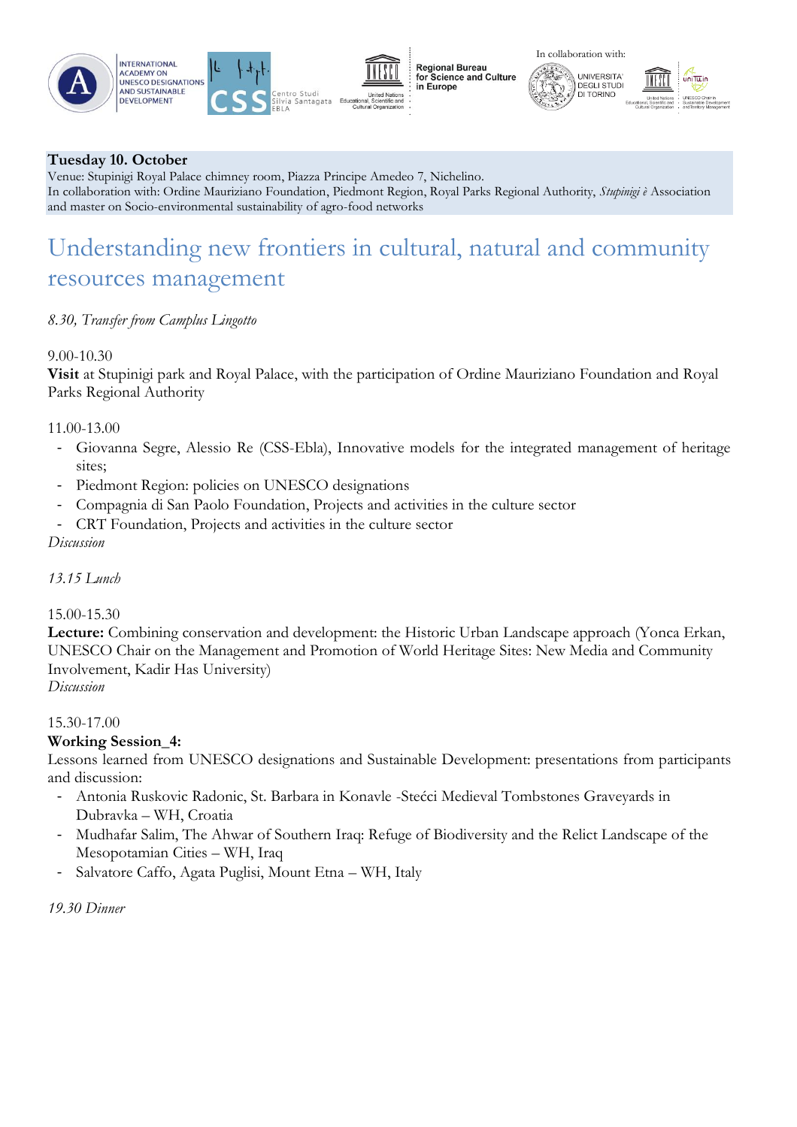





**Regional Bureau** for Science and Culture in Europe

In collaboration with:

**UNIVERSITA** 

DEGLI STUDI<br>DI TORINO



### **Tuesday 10. October**

Venue: Stupinigi Royal Palace chimney room, Piazza Principe Amedeo 7, Nichelino. In collaboration with: Ordine Mauriziano Foundation, Piedmont Region, Royal Parks Regional Authority, *Stupinigi è* Association and master on Socio-environmental sustainability of agro-food networks

### Understanding new frontiers in cultural, natural and community resources management

### *8.30, Transfer from Camplus Lingotto*

### 9.00-10.30

**Visit** at Stupinigi park and Royal Palace, with the participation of Ordine Mauriziano Foundation and Royal Parks Regional Authority

### 11.00-13.00

- Giovanna Segre, Alessio Re (CSS-Ebla), Innovative models for the integrated management of heritage sites;
- Piedmont Region: policies on UNESCO designations
- Compagnia di San Paolo Foundation, Projects and activities in the culture sector
- CRT Foundation, Projects and activities in the culture sector

### *Discussion*

### *13.15 Lunch*

### 15.00-15.30

**Lecture:** Combining conservation and development: the Historic Urban Landscape approach (Yonca Erkan, UNESCO Chair on the Management and Promotion of World Heritage Sites: New Media and Community Involvement, Kadir Has University)

*Discussion*

### 15.30-17.00

### **Working Session\_4:**

Lessons learned from UNESCO designations and Sustainable Development: presentations from participants and discussion:

- Antonia Ruskovic Radonic, St. Barbara in Konavle -Stećci Medieval Tombstones Graveyards in Dubravka – WH, Croatia
- Mudhafar Salim, The Ahwar of Southern Iraq: Refuge of Biodiversity and the Relict Landscape of the Mesopotamian Cities – WH, Iraq
- Salvatore Caffo, Agata Puglisi, Mount Etna WH, Italy

*19.30 Dinner*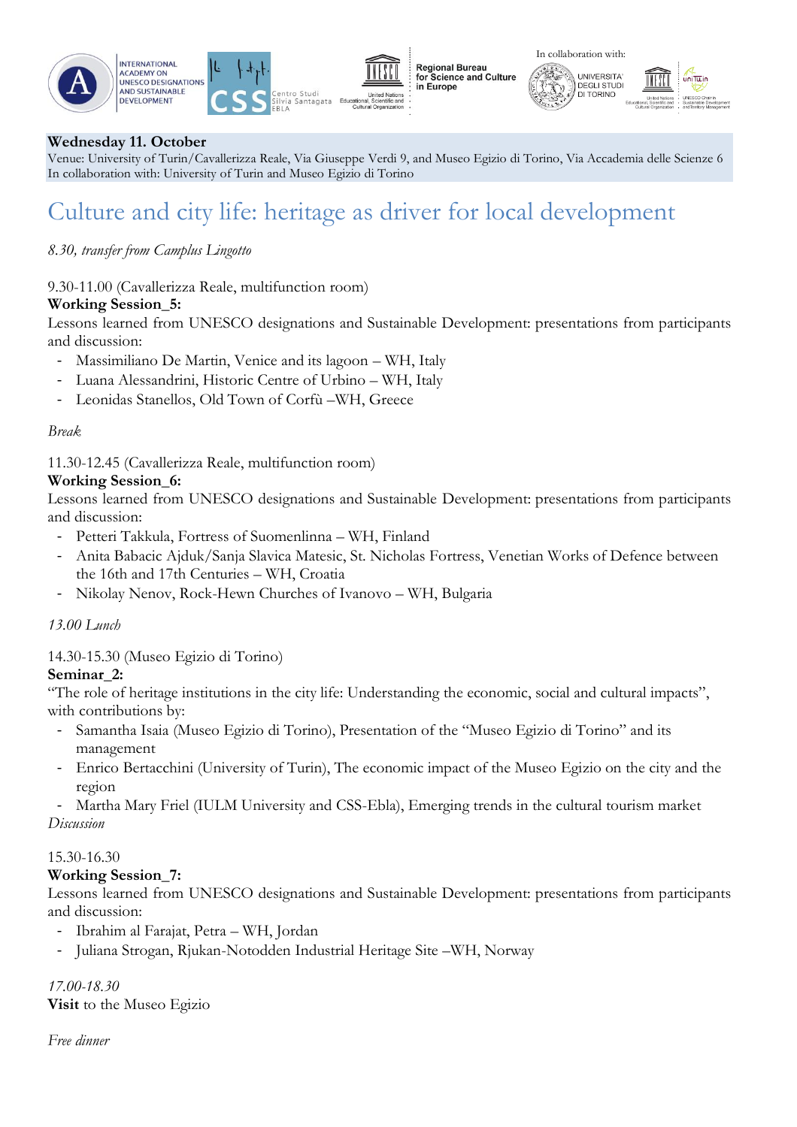### **Wednesday 11. October**

**INTERNATIONAL** 

**ACADEMY ON** 

**DEVELOPMENT** 

Venue: University of Turin/Cavallerizza Reale, Via Giuseppe Verdi 9, and Museo Egizio di Torino, Via Accademia delle Scienze 6 In collaboration with: University of Turin and Museo Egizio di Torino

**Regional Bureau** 

in Europe

# Culture and city life: heritage as driver for local development

### *8.30, transfer from Camplus Lingotto*

9.30-11.00 (Cavallerizza Reale, multifunction room)

### **Working Session\_5:**

Lessons learned from UNESCO designations and Sustainable Development: presentations from participants and discussion:

- Massimiliano De Martin, Venice and its lagoon WH, Italy
- Luana Alessandrini, Historic Centre of Urbino WH, Italy
- Leonidas Stanellos, Old Town of Corfù –WH, Greece

### *Break*

11.30-12.45 (Cavallerizza Reale, multifunction room)

### **Working Session\_6:**

Lessons learned from UNESCO designations and Sustainable Development: presentations from participants and discussion:

- Petteri Takkula, Fortress of Suomenlinna WH, Finland
- Anita Babacic Ajduk/Sanja Slavica Matesic, St. Nicholas Fortress, Venetian Works of Defence between the 16th and 17th Centuries – WH, Croatia
- Nikolay Nenov, Rock-Hewn Churches of Ivanovo WH, Bulgaria

### *13.00 Lunch*

### 14.30-15.30 (Museo Egizio di Torino)

### **Seminar\_2:**

"The role of heritage institutions in the city life: Understanding the economic, social and cultural impacts", with contributions by:

- Samantha Isaia (Museo Egizio di Torino), Presentation of the "Museo Egizio di Torino" and its management
- Enrico Bertacchini (University of Turin), The economic impact of the Museo Egizio on the city and the region
- Martha Mary Friel (IULM University and CSS-Ebla), Emerging trends in the cultural tourism market *Discussion*

### 15.30-16.30

### **Working Session\_7:**

Lessons learned from UNESCO designations and Sustainable Development: presentations from participants and discussion:

- Ibrahim al Farajat, Petra WH, Jordan
- Juliana Strogan, Rjukan-Notodden Industrial Heritage Site –WH, Norway

### *17.00-18.30*

**Visit** to the Museo Egizio

*Free dinner*







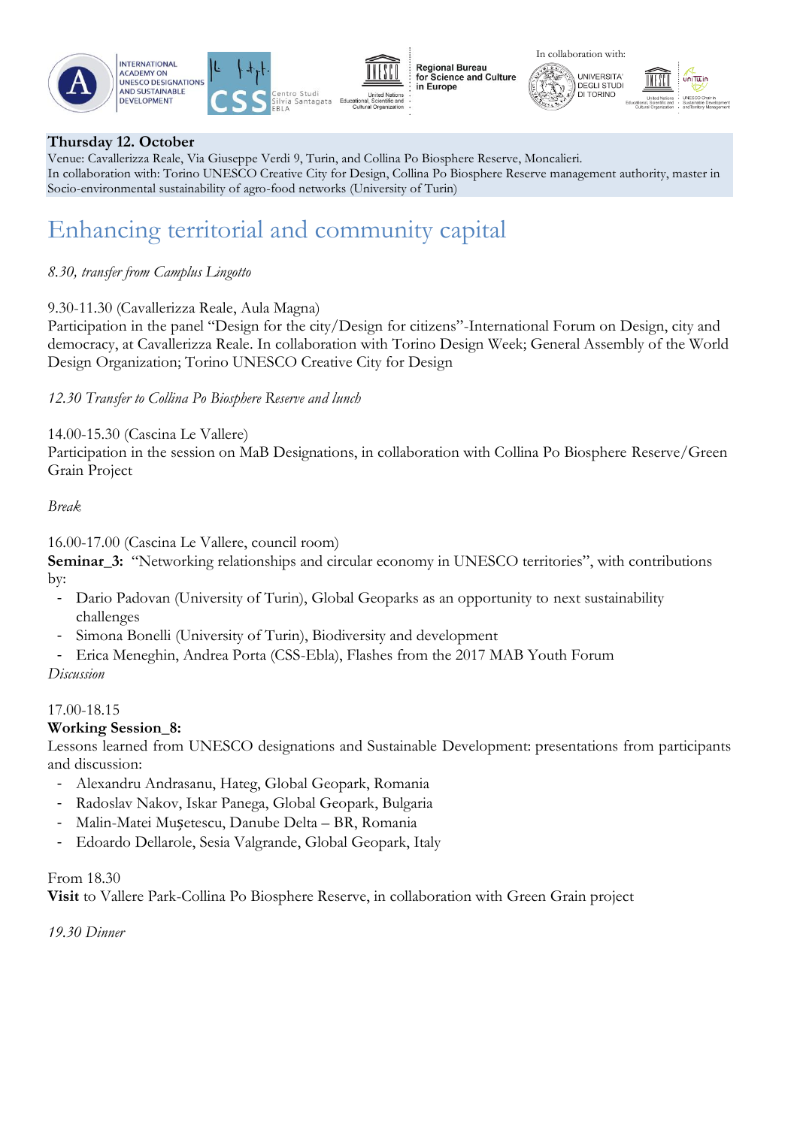





**Regional Bureau** for Science and Culture in Europe

In collaboration with:

**UNIVERSITA** 

**DEGLI STUD** 



### **Thursday 12. October**

Venue: Cavallerizza Reale, Via Giuseppe Verdi 9, Turin, and Collina Po Biosphere Reserve, Moncalieri. In collaboration with: Torino UNESCO Creative City for Design, Collina Po Biosphere Reserve management authority, master in Socio-environmental sustainability of agro-food networks (University of Turin)

### Enhancing territorial and community capital

### *8.30, transfer from Camplus Lingotto*

### 9.30-11.30 (Cavallerizza Reale, Aula Magna)

Participation in the panel "Design for the city/Design for citizens"-International Forum on Design, city and democracy, at Cavallerizza Reale. In collaboration with Torino Design Week; General Assembly of the World Design Organization; Torino UNESCO Creative City for Design

### *12.30 Transfer to Collina Po Biosphere Reserve and lunch*

14.00-15.30 (Cascina Le Vallere)

Participation in the session on MaB Designations, in collaboration with Collina Po Biosphere Reserve/Green Grain Project

### *Break*

16.00-17.00 (Cascina Le Vallere, council room)

**Seminar\_3:** "Networking relationships and circular economy in UNESCO territories", with contributions by:

- Dario Padovan (University of Turin), Global Geoparks as an opportunity to next sustainability challenges
- Simona Bonelli (University of Turin), Biodiversity and development
- Erica Meneghin, Andrea Porta (CSS-Ebla), Flashes from the 2017 MAB Youth Forum

### *Discussion*

### 17.00-18.15

### **Working Session\_8:**

Lessons learned from UNESCO designations and Sustainable Development: presentations from participants and discussion:

- Alexandru Andrasanu, Hateg, Global Geopark, Romania
- Radoslav Nakov, Iskar Panega, Global Geopark, Bulgaria
- Malin-Matei Mușetescu, Danube Delta BR, Romania
- Edoardo Dellarole, Sesia Valgrande, Global Geopark, Italy

### From 18.30

**Visit** to Vallere Park-Collina Po Biosphere Reserve, in collaboration with Green Grain project

*19.30 Dinner*